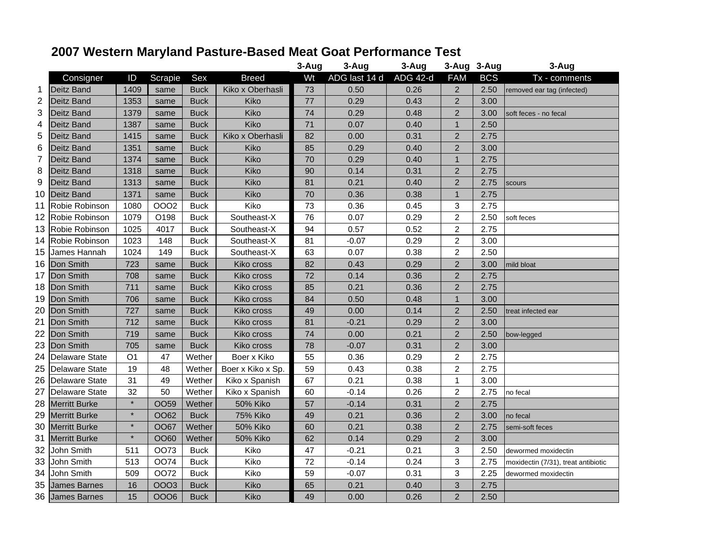## **2007 Western Maryland Pasture-Based Meat Goat Performance Test**

|    |                      |                |             |             |                   | 3-Aug | 3-Aug         | 3-Aug           |                | 3-Aug 3-Aug | 3-Aug                               |
|----|----------------------|----------------|-------------|-------------|-------------------|-------|---------------|-----------------|----------------|-------------|-------------------------------------|
|    | Consigner            | ID             | Scrapie     | Sex         | <b>Breed</b>      | Wt    | ADG last 14 d | <b>ADG 42-d</b> | <b>FAM</b>     | <b>BCS</b>  | Tx - comments                       |
| 1  | Deitz Band           | 1409           | same        | <b>Buck</b> | Kiko x Oberhasli  | 73    | 0.50          | 0.26            | $\overline{2}$ | 2.50        | removed ear tag (infected)          |
| 2  | <b>Deitz Band</b>    | 1353           | same        | <b>Buck</b> | Kiko              | 77    | 0.29          | 0.43            | $\overline{2}$ | 3.00        |                                     |
| 3  | Deitz Band           | 1379           | same        | <b>Buck</b> | Kiko              | 74    | 0.29          | 0.48            | $\overline{2}$ | 3.00        | soft feces - no fecal               |
| 4  | lDeitz Band          | 1387           | same        | <b>Buck</b> | Kiko              | 71    | 0.07          | 0.40            | $\mathbf{1}$   | 2.50        |                                     |
| 5  | Deitz Band           | 1415           | same        | <b>Buck</b> | Kiko x Oberhasli  | 82    | 0.00          | 0.31            | $\overline{2}$ | 2.75        |                                     |
| 6  | Deitz Band           | 1351           | same        | <b>Buck</b> | Kiko              | 85    | 0.29          | 0.40            | 2              | 3.00        |                                     |
| 7  | Deitz Band           | 1374           | same        | <b>Buck</b> | Kiko              | 70    | 0.29          | 0.40            | $\mathbf{1}$   | 2.75        |                                     |
| 8  | Deitz Band           | 1318           | same        | <b>Buck</b> | Kiko              | 90    | 0.14          | 0.31            | $\overline{2}$ | 2.75        |                                     |
| 9  | <b>Deitz Band</b>    | 1313           | same        | <b>Buck</b> | Kiko              | 81    | 0.21          | 0.40            | 2              | 2.75        | scours                              |
| 10 | <b>Deitz Band</b>    | 1371           | same        | <b>Buck</b> | Kiko              | 70    | 0.36          | 0.38            | $\mathbf{1}$   | 2.75        |                                     |
| 11 | Robie Robinson       | 1080           | 0002        | <b>Buck</b> | Kiko              | 73    | 0.36          | 0.45            | 3              | 2.75        |                                     |
| 12 | Robie Robinson       | 1079           | O198        | <b>Buck</b> | Southeast-X       | 76    | 0.07          | 0.29            | $\overline{c}$ | 2.50        | soft feces                          |
| 13 | Robie Robinson       | 1025           | 4017        | <b>Buck</b> | Southeast-X       | 94    | 0.57          | 0.52            | $\overline{c}$ | 2.75        |                                     |
| 14 | Robie Robinson       | 1023           | 148         | <b>Buck</b> | Southeast-X       | 81    | $-0.07$       | 0.29            | $\overline{c}$ | 3.00        |                                     |
| 15 | James Hannah         | 1024           | 149         | <b>Buck</b> | Southeast-X       | 63    | 0.07          | 0.38            | $\overline{c}$ | 2.50        |                                     |
| 16 | Don Smith            | 723            | same        | <b>Buck</b> | Kiko cross        | 82    | 0.43          | 0.29            | $\overline{2}$ | 3.00        | mild bloat                          |
| 17 | Don Smith            | 708            | same        | <b>Buck</b> | Kiko cross        | 72    | 0.14          | 0.36            | $\overline{2}$ | 2.75        |                                     |
| 18 | Don Smith            | 711            | same        | <b>Buck</b> | Kiko cross        | 85    | 0.21          | 0.36            | $\overline{2}$ | 2.75        |                                     |
| 19 | Don Smith            | 706            | same        | <b>Buck</b> | Kiko cross        | 84    | 0.50          | 0.48            | $\mathbf{1}$   | 3.00        |                                     |
| 20 | Don Smith            | 727            | same        | <b>Buck</b> | Kiko cross        | 49    | 0.00          | 0.14            | $\overline{2}$ | 2.50        | treat infected ear                  |
| 21 | Don Smith            | 712            | same        | <b>Buck</b> | Kiko cross        | 81    | $-0.21$       | 0.29            | $\overline{2}$ | 3.00        |                                     |
| 22 | Don Smith            | 719            | same        | <b>Buck</b> | Kiko cross        | 74    | 0.00          | 0.21            | $\overline{2}$ | 2.50        | bow-legged                          |
| 23 | Don Smith            | 705            | same        | <b>Buck</b> | Kiko cross        | 78    | $-0.07$       | 0.31            | $\mathbf 2$    | 3.00        |                                     |
| 24 | Delaware State       | O <sub>1</sub> | 47          | Wether      | Boer x Kiko       | 55    | 0.36          | 0.29            | $\overline{c}$ | 2.75        |                                     |
| 25 | Delaware State       | 19             | 48          | Wether      | Boer x Kiko x Sp. | 59    | 0.43          | 0.38            | $\overline{c}$ | 2.75        |                                     |
| 26 | Delaware State       | 31             | 49          | Wether      | Kiko x Spanish    | 67    | 0.21          | 0.38            | $\mathbf{1}$   | 3.00        |                                     |
| 27 | Delaware State       | 32             | 50          | Wether      | Kiko x Spanish    | 60    | $-0.14$       | 0.26            | $\overline{c}$ | 2.75        | no fecal                            |
| 28 | <b>Merritt Burke</b> | $\star$        | <b>OO59</b> | Wether      | <b>50% Kiko</b>   | 57    | $-0.14$       | 0.31            | $\overline{2}$ | 2.75        |                                     |
| 29 | <b>Merritt Burke</b> | $\star$        | OO62        | <b>Buck</b> | <b>75% Kiko</b>   | 49    | 0.21          | 0.36            | $\overline{2}$ | 3.00        | no fecal                            |
| 30 | <b>Merritt Burke</b> | $\star$        | <b>OO67</b> | Wether      | <b>50% Kiko</b>   | 60    | 0.21          | 0.38            | $\overline{2}$ | 2.75        | semi-soft feces                     |
| 31 | <b>Merritt Burke</b> | $\star$        | OO60        | Wether      | 50% Kiko          | 62    | 0.14          | 0.29            | $\overline{2}$ | 3.00        |                                     |
| 32 | John Smith           | 511            | <b>OO73</b> | <b>Buck</b> | Kiko              | 47    | $-0.21$       | 0.21            | 3              | 2.50        | dewormed moxidectin                 |
| 33 | John Smith           | 513            | <b>OO74</b> | <b>Buck</b> | Kiko              | 72    | $-0.14$       | 0.24            | 3              | 2.75        | moxidectin (7/31), treat antibiotic |
| 34 | John Smith           | 509            | <b>OO72</b> | <b>Buck</b> | Kiko              | 59    | $-0.07$       | 0.31            | 3              | 2.25        | dewormed moxidectin                 |
| 35 | <b>James Barnes</b>  | 16             | 0003        | <b>Buck</b> | Kiko              | 65    | 0.21          | 0.40            | 3              | 2.75        |                                     |
|    | 36 James Barnes      | 15             | 0006        | <b>Buck</b> | Kiko              | 49    | 0.00          | 0.26            | $\overline{2}$ | 2.50        |                                     |